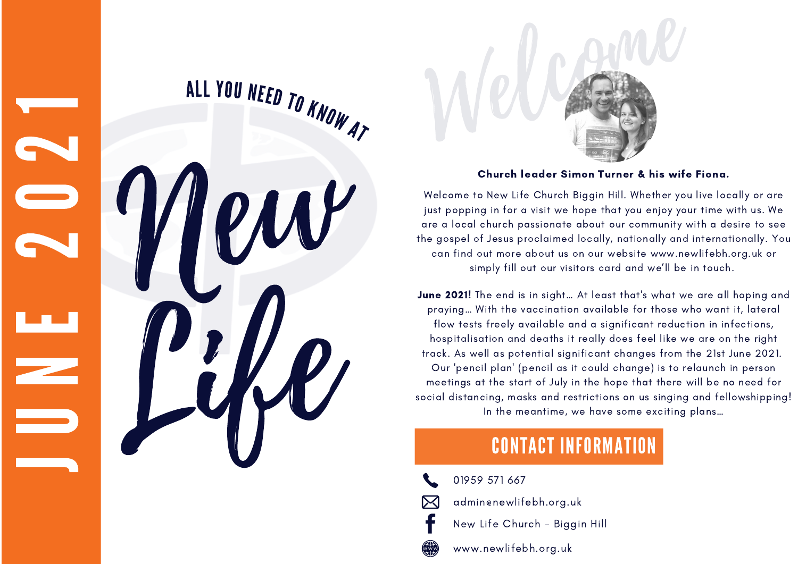**June 2021!** The end is in sight… At least that's what we are all hoping and praying… With the vaccination available for those who want it, lateral flow tests freely available and a significant reduction in infections, hospitalisation and deaths it really does feel like we are on the right track. As well as potential significant changes from the 21st June 2021. pencil plan ' (pencil as it could change) is to relaunch in person meetings at the start of July in the hope that there will be no need for social distancing, masks and restrictions on us singing and fellowshipping! In the meantime, we have some exciting plans…



#### Church leader Simon Turner & his wife Fiona.

Welcome to New Life Church Biggin Hill. Whether you live locally or are just popping in for a visit we hope that you enjoy your time with us. We are a local church passionate about our community with a desire to see the gospel of Jesus proclaimed locally, nationally and internationally. You can find out more about us on our website [www.newlifebh.org.uk](http://www.newlifebh.org.uk/) or simply fill out our visitors card and we 'll be in touch.